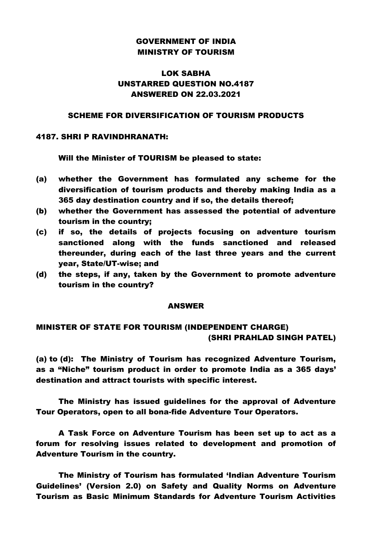# GOVERNMENT OF INDIA MINISTRY OF TOURISM

# LOK SABHA UNSTARRED QUESTION NO.4187 ANSWERED ON 22.03.2021

#### SCHEME FOR DIVERSIFICATION OF TOURISM PRODUCTS

#### 4187. SHRI P RAVINDHRANATH:

Will the Minister of TOURISM be pleased to state:

- (a) whether the Government has formulated any scheme for the diversification of tourism products and thereby making India as a 365 day destination country and if so, the details thereof;
- (b) whether the Government has assessed the potential of adventure tourism in the country;
- (c) if so, the details of projects focusing on adventure tourism sanctioned along with the funds sanctioned and released thereunder, during each of the last three years and the current year, State/UT-wise; and
- (d) the steps, if any, taken by the Government to promote adventure tourism in the country?

#### ANSWER

### MINISTER OF STATE FOR TOURISM (INDEPENDENT CHARGE) (SHRI PRAHLAD SINGH PATEL)

(a) to (d): The Ministry of Tourism has recognized Adventure Tourism, as a "Niche" tourism product in order to promote India as a 365 days' destination and attract tourists with specific interest.

The Ministry has issued guidelines for the approval of Adventure Tour Operators, open to all bona-fide Adventure Tour Operators.

A Task Force on Adventure Tourism has been set up to act as a forum for resolving issues related to development and promotion of Adventure Tourism in the country.

The Ministry of Tourism has formulated 'Indian Adventure Tourism Guidelines' (Version 2.0) on Safety and Quality Norms on Adventure Tourism as Basic Minimum Standards for Adventure Tourism Activities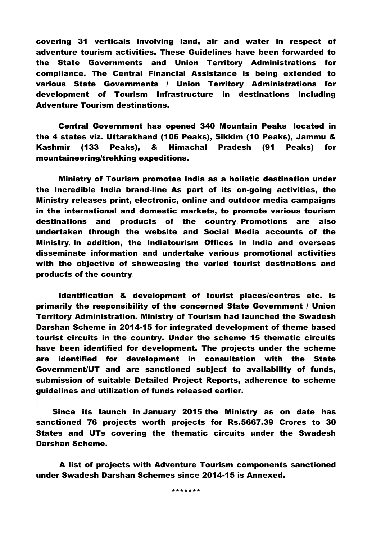covering 31 verticals involving land, air and water in respect of adventure tourism activities. These Guidelines have been forwarded to the State Governments and Union Territory Administrations for compliance. The Central Financial Assistance is being extended to various State Governments / Union Territory Administrations for development of Tourism Infrastructure in destinations including Adventure Tourism destinations.

Central Government has opened 340 Mountain Peaks located in the 4 states viz. Uttarakhand (106 Peaks), Sikkim (10 Peaks), Jammu & Kashmir (133 Peaks), & Himachal Pradesh (91 Peaks) for mountaineering/trekking expeditions.

Ministry of Tourism promotes India as a holistic destination under the Incredible India brand-line. As part of its on-going activities, the Ministry releases print, electronic, online and outdoor media campaigns in the international and domestic markets, to promote various tourism destinations and products of the country. Promotions are also undertaken through the website and Social Media accounts of the Ministry. In addition, the Indiatourism Offices in India and overseas disseminate information and undertake various promotional activities with the objective of showcasing the varied tourist destinations and products of the country.

Identification & development of tourist places/centres etc. is primarily the responsibility of the concerned State Government / Union Territory Administration. Ministry of Tourism had launched the Swadesh Darshan Scheme in 2014-15 for integrated development of theme based tourist circuits in the country. Under the scheme 15 thematic circuits have been identified for development. The projects under the scheme are identified for development in consultation with the State Government/UT and are sanctioned subject to availability of funds, submission of suitable Detailed Project Reports, adherence to scheme guidelines and utilization of funds released earlier.

 Since its launch in January 2015 the Ministry as on date has sanctioned 76 projects worth projects for Rs.5667.39 Crores to 30 States and UTs covering the thematic circuits under the Swadesh Darshan Scheme.

 A list of projects with Adventure Tourism components sanctioned under Swadesh Darshan Schemes since 2014-15 is Annexed.

\*\*\*\*\*\*\*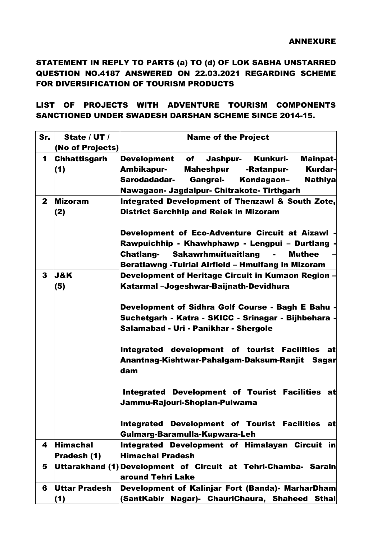# STATEMENT IN REPLY TO PARTS (a) TO (d) OF LOK SABHA UNSTARRED QUESTION NO.4187 ANSWERED ON 22.03.2021 REGARDING SCHEME FOR DIVERSIFICATION OF TOURISM PRODUCTS

# LIST OF PROJECTS WITH ADVENTURE TOURISM COMPONENTS SANCTIONED UNDER SWADESH DARSHAN SCHEME SINCE 2014-15.

| Sr.          | State / UT /        | <b>Name of the Project</b>                                          |
|--------------|---------------------|---------------------------------------------------------------------|
|              | (No of Projects)    |                                                                     |
| $\mathbf 1$  | <b>Chhattisgarh</b> | Development of<br><b>Jashpur-</b><br>Kunkuri-<br><b>Mainpat-</b>    |
|              | (1)                 | <b>Kurdar-</b><br>Ambikapur-<br>Maheshpur<br>-Ratanpur-             |
|              |                     | Sarodadadar-<br><b>Gangrel-</b><br>Kondagaon-<br><b>Nathiya</b>     |
|              |                     | Nawagaon- Jagdalpur- Chitrakote- Tirthgarh                          |
| $\mathbf{2}$ | <b>Mizoram</b>      | Integrated Development of Thenzawl & South Zote,                    |
|              | (2)                 | <b>District Serchhip and Reiek in Mizoram</b>                       |
|              |                     | Development of Eco-Adventure Circuit at Aizawl -                    |
|              |                     | Rawpuichhip - Khawhphawp - Lengpui - Durtlang -                     |
|              |                     | <b>Chatlang- Sakawrhmuituaitlang</b><br><b>Muthee</b><br>$\sim 100$ |
|              |                     | Beratlawng -Tuirial Airfield - Hmuifang in Mizoram                  |
| 3            | <b>J&amp;K</b>      | Development of Heritage Circuit in Kumaon Region -                  |
|              | (5)                 | Katarmal –Jogeshwar-Baijnath-Devidhura                              |
|              |                     | Development of Sidhra Golf Course - Bagh E Bahu -                   |
|              |                     | Suchetgarh - Katra - SKICC - Srinagar - Bijhbehara -                |
|              |                     | Salamabad - Uri - Panikhar - Shergole                               |
|              |                     |                                                                     |
|              |                     | Integrated development of tourist Facilities at                     |
|              |                     | Anantnag-Kishtwar-Pahalgam-Daksum-Ranjit Sagar                      |
|              |                     | dam                                                                 |
|              |                     |                                                                     |
|              |                     | Integrated Development of Tourist Facilities at                     |
|              |                     | Jammu-Rajouri-Shopian-Pulwama                                       |
|              |                     | Integrated Development of Tourist Facilities<br>atl                 |
|              |                     | Gulmarg-Baramulla-Kupwara-Leh                                       |
| 4            | <b>Himachal</b>     | Integrated Development of Himalayan Circuit in                      |
|              | Pradesh (1)         | <b>Himachal Pradesh</b>                                             |
| 5            |                     | Uttarakhand (1) Development of Circuit at Tehri-Chamba- Sarain      |
|              |                     | around Tehri Lake                                                   |
| 6            | Uttar Pradesh       | Development of Kalinjar Fort (Banda)- MarharDham                    |
|              | (1)                 | (SantKabir Nagar)- ChauriChaura, Shaheed Sthal                      |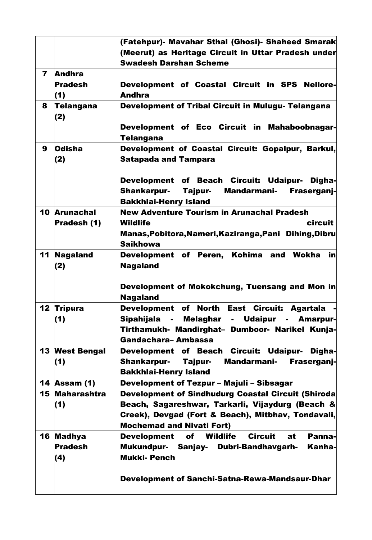|    |                     | (Fatehpur)- Mavahar Sthal (Ghosi)- Shaheed Smarak                             |
|----|---------------------|-------------------------------------------------------------------------------|
|    |                     | (Meerut) as Heritage Circuit in Uttar Pradesh under                           |
|    |                     | <b>Swadesh Darshan Scheme</b>                                                 |
| 7  | <b>Andhra</b>       |                                                                               |
|    | <b>Pradesh</b>      | Development of Coastal Circuit in SPS Nellore-                                |
|    | (1)                 | <b>Andhra</b>                                                                 |
| 8  | Telangana           | <b>Development of Tribal Circuit in Mulugu- Telangana</b>                     |
|    | (2)                 |                                                                               |
|    |                     | Development of Eco Circuit in Mahaboobnagar-                                  |
|    |                     | Telangana                                                                     |
| 9  | <b>Odisha</b>       | Development of Coastal Circuit: Gopalpur, Barkul,                             |
|    | (2)                 | <b>Satapada and Tampara</b>                                                   |
|    |                     |                                                                               |
|    |                     | Development of Beach Circuit: Udaipur- Digha-                                 |
|    |                     | <b>Mandarmani-</b><br><b>Shankarpur-</b><br>Tajpur-<br>Fraserganj-            |
|    |                     | <b>Bakkhlai-Henry Island</b>                                                  |
| 10 | <b>Arunachal</b>    | <b>New Adventure Tourism in Arunachal Pradesh</b>                             |
|    | Pradesh (1)         | circuit<br><b>Wildlife</b>                                                    |
|    |                     | Manas,Pobitora,Nameri,Kaziranga,Pani Dihing,Dibru                             |
|    |                     | <b>Saikhowa</b>                                                               |
| 11 | <b>Nagaland</b>     | Development of Peren, Kohima and Wokha<br>in                                  |
|    | (2)                 | <b>Nagaland</b>                                                               |
|    |                     |                                                                               |
|    |                     | Development of Mokokchung, Tuensang and Mon in                                |
|    |                     | <b>Nagaland</b>                                                               |
| 12 | <b>Tripura</b>      | Development of North East Circuit: Agartala                                   |
|    | (1)                 | Sipahijala - Melaghar - Udaipur - Amarpur-                                    |
|    |                     | Tirthamukh- Mandirghat- Dumboor- Narikel Kunja-                               |
|    |                     | Gandachara-Ambassa                                                            |
| 13 | <b>West Bengal</b>  | Development of Beach Circuit: Udaipur- Digha-                                 |
|    | (1)                 | <b>Shankarpur-</b><br>Tajpur-<br>Mandarmani-<br>Fraserganj-                   |
|    |                     | <b>Bakkhlai-Henry Island</b>                                                  |
|    | <b>14 Assam (1)</b> | Development of Tezpur - Majuli - Sibsagar                                     |
|    | 15 Maharashtra      | <b>Development of Sindhudurg Coastal Circuit (Shiroda</b>                     |
|    | (1)                 | Beach, Sagareshwar, Tarkarli, Vijaydurg (Beach &                              |
|    |                     | Creek), Devgad (Fort & Beach), Mitbhav, Tondavali,                            |
|    |                     | <b>Mochemad and Nivati Fort)</b>                                              |
|    | 16 Madhya           | Panna-<br><b>Wildlife</b><br><b>Circuit</b><br>at<br><b>Development</b><br>of |
|    | <b>Pradesh</b>      | Kanha-<br>Mukundpur- Sanjay- Dubri-Bandhavgarh-                               |
|    | (4)                 | Mukki- Pench                                                                  |
|    |                     |                                                                               |
|    |                     | Development of Sanchi-Satna-Rewa-Mandsaur-Dhar                                |
|    |                     |                                                                               |